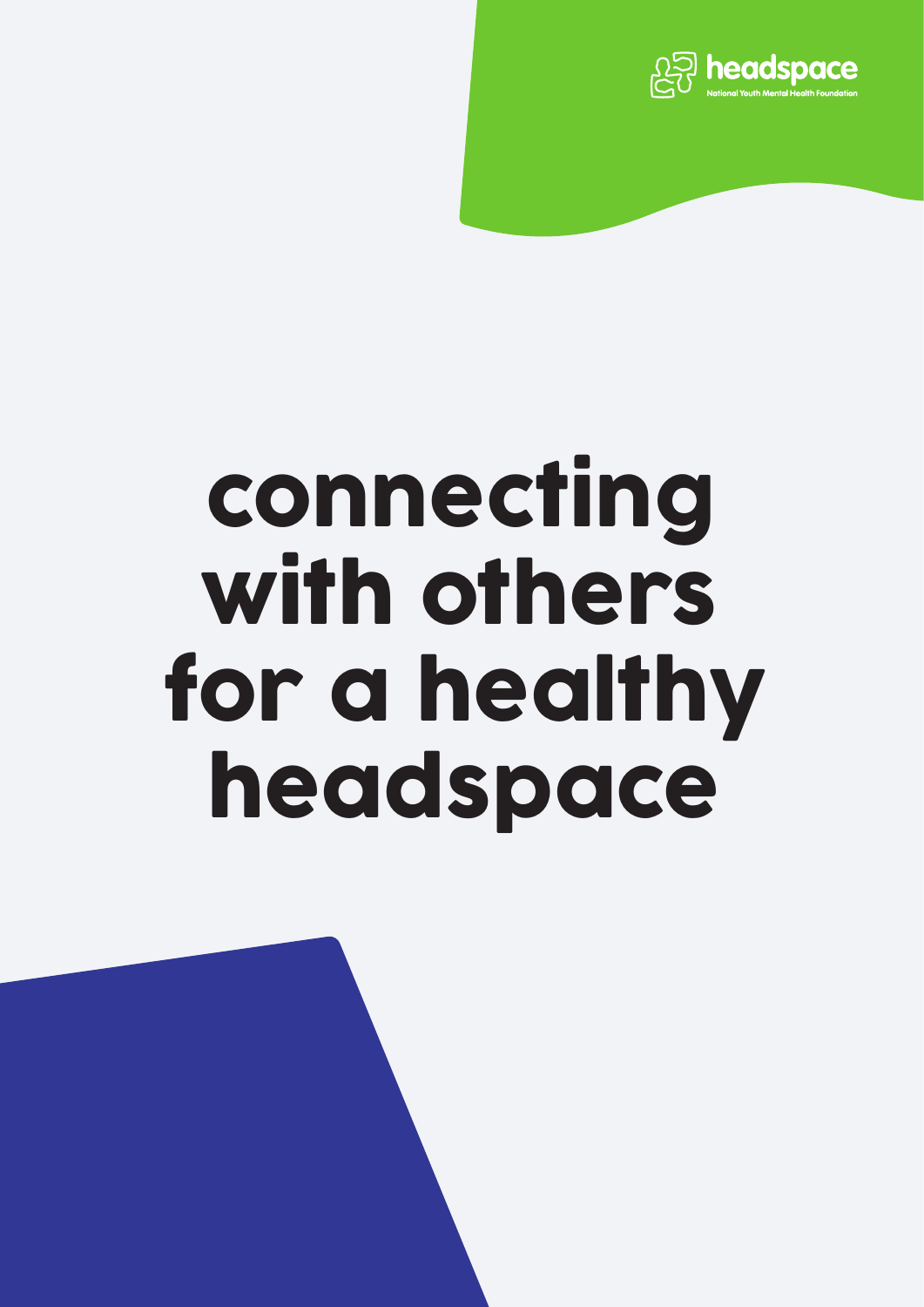

# connecting with others for a healthy headspace